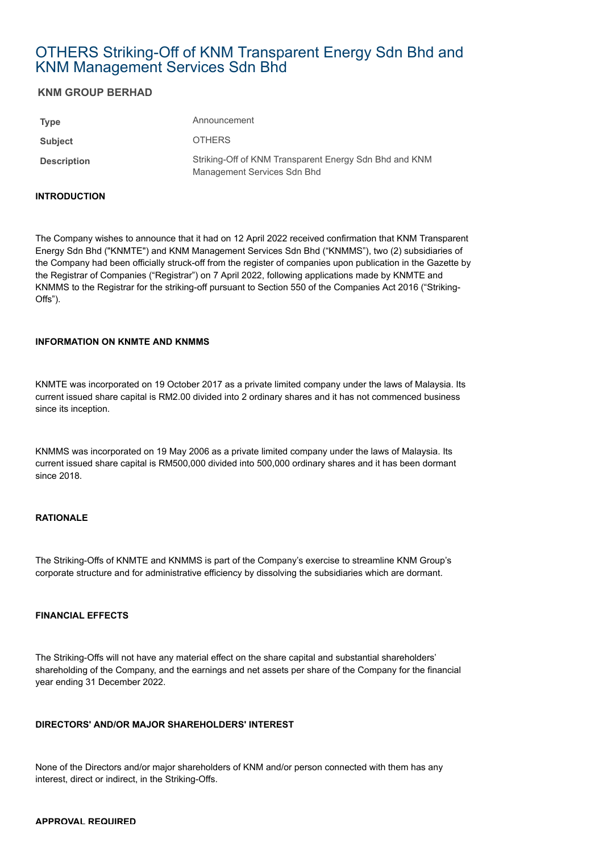# OTHERS Striking-Off of KNM Transparent Energy Sdn Bhd and KNM Management Services Sdn Bhd

## **KNM GROUP BERHAD**

| <b>Type</b>        | Announcement                                                                          |
|--------------------|---------------------------------------------------------------------------------------|
| <b>Subject</b>     | <b>OTHERS</b>                                                                         |
| <b>Description</b> | Striking-Off of KNM Transparent Energy Sdn Bhd and KNM<br>Management Services Sdn Bhd |

#### **INTRODUCTION**

The Company wishes to announce that it had on 12 April 2022 received confirmation that KNM Transparent Energy Sdn Bhd ("KNMTE") and KNM Management Services Sdn Bhd ("KNMMS"), two (2) subsidiaries of the Company had been officially struck-off from the register of companies upon publication in the Gazette by the Registrar of Companies ("Registrar") on 7 April 2022, following applications made by KNMTE and KNMMS to the Registrar for the striking-off pursuant to Section 550 of the Companies Act 2016 ("Striking-Offs").

#### **INFORMATION ON KNMTE AND KNMMS**

KNMTE was incorporated on 19 October 2017 as a private limited company under the laws of Malaysia. Its current issued share capital is RM2.00 divided into 2 ordinary shares and it has not commenced business since its inception.

KNMMS was incorporated on 19 May 2006 as a private limited company under the laws of Malaysia. Its current issued share capital is RM500,000 divided into 500,000 ordinary shares and it has been dormant since 2018.

#### **RATIONALE**

The Striking-Offs of KNMTE and KNMMS is part of the Company's exercise to streamline KNM Group's corporate structure and for administrative efficiency by dissolving the subsidiaries which are dormant.

### **FINANCIAL EFFECTS**

The Striking-Offs will not have any material effect on the share capital and substantial shareholders' shareholding of the Company, and the earnings and net assets per share of the Company for the financial year ending 31 December 2022.

#### **DIRECTORS' AND/OR MAJOR SHAREHOLDERS' INTEREST**

None of the Directors and/or major shareholders of KNM and/or person connected with them has any interest, direct or indirect, in the Striking-Offs.

#### **APPROVAL REQUIRED**